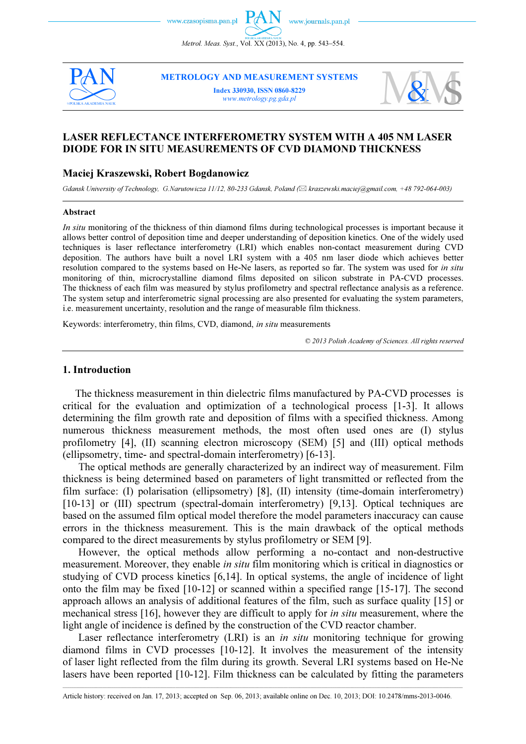



**METROLOGY AND MEASUREMENT SYSTEMS** 

Index 330930, ISS 0860-8229 www.metrology.pg.gda.pl



# LASER REFLECTANCE INTERFEROMETRY SYSTEM WITH A 405 NM LASER DIODE FOR IN SITU MEASUREMENTS OF CVD DIAMOND THICKNESS

# Maciej Kraszewski, Robert Bogdanowicz

Gdansk University of Technology, G.Narutowicza 11/12, 80-233 Gdansk, Poland ( $\boxtimes$  kraszewski.maciej@gmail.com, +48 792-064-003)

#### Abstract

In situ monitoring of the thickness of thin diamond films during technological processes is important because it allows better control of deposition time and deeper understanding of deposition kinetics. One of the widely used techniques is laser reflectance interferometry (LRI) which enables non-contact measurement during CVD deposition. The authors have built a novel LRI system with a 405 nm laser diode which achieves better resolution compared to the systems based on He-Ne lasers, as reported so far. The system was used for *in situ* monitoring of thin, microcrystalline diamond films deposited on silicon substrate in PA-CVD processes. The thickness of each film was measured by stylus profilometry and spectral reflectance analysis as a reference. The system setup and interferometric signal processing are also presented for evaluating the system parameters, i.e. measurement uncertainty, resolution and the range of measurable film thickness.

Keywords: interferometry, thin films, CVD, diamond, in situ measurements

© 2013 Polish Academy of Sciences. All rights reserved

## 1. Introduction

The thickness measurement in thin dielectric films manufactured by PA-CVD processes is critical for the evaluation and optimization of a technological process [1-3]. It allows determining the film growth rate and deposition of films with a specified thickness. Among numerous thickness measurement methods, the most often used ones are (I) stylus profilometry [4], (II) scanning electron microscopy (SEM) [5] and (III) optical methods (ellipsometry, time- and spectral-domain interferometry) [6-13].

 The optical methods are generally characterized by an indirect way of measurement. Film thickness is being determined based on parameters of light transmitted or reflected from the film surface: (I) polarisation (ellipsometry) [8], (II) intensity (time-domain interferometry) [10-13] or (III) spectrum (spectral-domain interferometry) [9,13]. Optical techniques are based on the assumed film optical model therefore the model parameters inaccuracy can cause errors in the thickness measurement. This is the main drawback of the optical methods compared to the direct measurements by stylus profilometry or SEM [9].

 However, the optical methods allow performing a no-contact and non-destructive measurement. Moreover, they enable *in situ* film monitoring which is critical in diagnostics or studying of CVD process kinetics [6,14]. In optical systems, the angle of incidence of light onto the film may be fixed [10-12] or scanned within a specified range [15-17]. The second approach allows an analysis of additional features of the film, such as surface quality [15] or mechanical stress [16], however they are difficult to apply for in situ measurement, where the light angle of incidence is defined by the construction of the CVD reactor chamber.

Laser reflectance interferometry (LRI) is an *in situ* monitoring technique for growing diamond films in CVD processes [10-12]. It involves the measurement of the intensity of laser light reflected from the film during its growth. Several LRI systems based on He-Ne lasers have been reported [10-12]. Film thickness can be calculated by fitting the parameters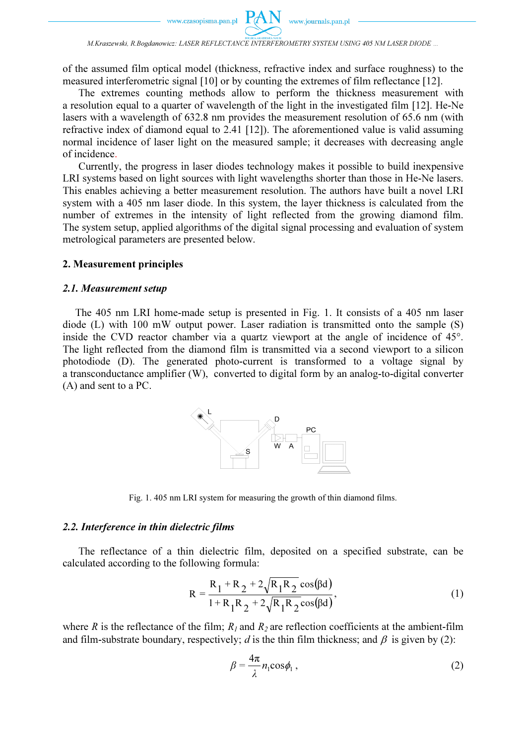

M.Kraszewski, R.Bogdanowicz: LASER REFLECTANCE INTERFEROMETRY SYSTEM USING 405 NM LASER DIODE ...

of the assumed film optical model (thickness, refractive index and surface roughness) to the measured interferometric signal [10] or by counting the extremes of film reflectance [12].

 The extremes counting methods allow to perform the thickness measurement with a resolution equal to a quarter of wavelength of the light in the investigated film [12]. He-Ne lasers with a wavelength of 632.8 nm provides the measurement resolution of 65.6 nm (with refractive index of diamond equal to 2.41 [12]). The aforementioned value is valid assuming normal incidence of laser light on the measured sample; it decreases with decreasing angle of incidence.

 Currently, the progress in laser diodes technology makes it possible to build inexpensive LRI systems based on light sources with light wavelengths shorter than those in He-Ne lasers. This enables achieving a better measurement resolution. The authors have built a novel LRI system with a 405 nm laser diode. In this system, the layer thickness is calculated from the number of extremes in the intensity of light reflected from the growing diamond film. The system setup, applied algorithms of the digital signal processing and evaluation of system metrological parameters are presented below.

#### 2. Measurement principles

## 2.1. Measurement setup

The 405 nm LRI home-made setup is presented in Fig. 1. It consists of a 405 nm laser diode (L) with 100 mW output power. Laser radiation is transmitted onto the sample (S) inside the CVD reactor chamber via a quartz viewport at the angle of incidence of 45°. The light reflected from the diamond film is transmitted via a second viewport to a silicon photodiode (D). The generated photo-current is transformed to a voltage signal by a transconductance amplifier (W), converted to digital form by an analog-to-digital converter (A) and sent to a PC.



Fig. 1. 405 nm LRI system for measuring the growth of thin diamond films.

#### 2.2. Interference in thin dielectric films

The reflectance of a thin dielectric film, deposited on a specified substrate, can be calculated according to the following formula:

$$
R = \frac{R_1 + R_2 + 2\sqrt{R_1 R_2} \cos(\beta d)}{1 + R_1 R_2 + 2\sqrt{R_1 R_2} \cos(\beta d)},
$$
\n(1)

where R is the reflectance of the film;  $R_1$  and  $R_2$  are reflection coefficients at the ambient-film and film-substrate boundary, respectively; d is the thin film thickness; and  $\beta$  is given by (2):

$$
\beta = \frac{4\pi}{\lambda} n_1 \cos \phi_1 , \qquad (2)
$$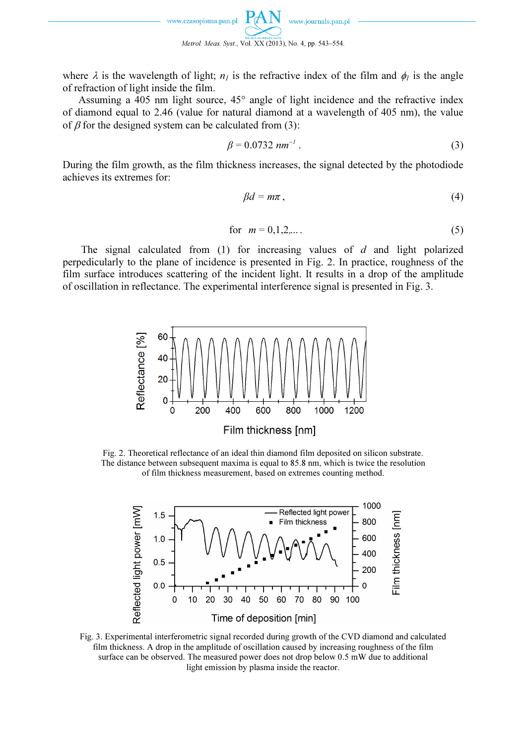

where  $\lambda$  is the wavelength of light;  $n_l$  is the refractive index of the film and  $\phi_l$  is the angle of refraction of light inside the film.

 Assuming a 405 nm light source, 45° angle of light incidence and the refractive index of diamond equal to 2.46 (value for natural diamond at a wavelength of 405 nm), the value of  $\beta$  for the designed system can be calculated from (3):

$$
\beta = 0.0732 \, \text{nm}^{-1} \,. \tag{3}
$$

During the film growth, as the film thickness increases, the signal detected by the photodiode achieves its extremes for:

$$
\beta d = m\pi \,,\tag{4}
$$

for 
$$
m = 0, 1, 2, ...
$$
 (5)

The signal calculated from  $(1)$  for increasing values of d and light polarized perpedicularly to the plane of incidence is presented in Fig. 2. In practice, roughness of the film surface introduces scattering of the incident light. It results in a drop of the amplitude of oscillation in reflectance. The experimental interference signal is presented in Fig. 3.



Fig. 2. Theoretical reflectance of an ideal thin diamond film deposited on silicon substrate. The distance between subsequent maxima is equal to 85.8 nm, which is twice the resolution of film thickness measurement, based on extremes counting method.



Fig. 3. Experimental interferometric signal recorded during growth of the CVD diamond and calculated film thickness. A drop in the amplitude of oscillation caused by increasing roughness of the film surface can be observed. The measured power does not drop below 0.5 mW due to additional light emission by plasma inside the reactor.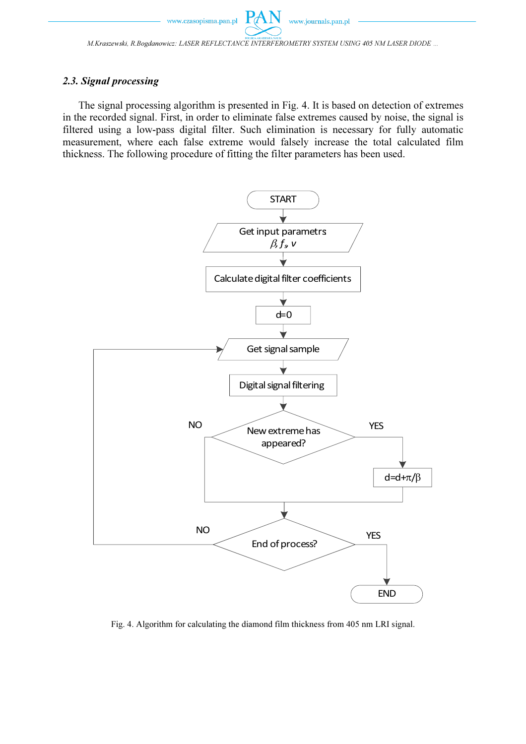M.Kraszewski, R.Bogdanowicz: LASER REFLECTANCE INTERFEROMETRY SYSTEM USING 405 NM LASER DIODE ...

 $P\mathcal{A}$ 

# 2.3. Signal processing

The signal processing algorithm is presented in Fig. 4. It is based on detection of extremes in the recorded signal. First, in order to eliminate false extremes caused by noise, the signal is filtered using a low-pass digital filter. Such elimination is necessary for fully automatic measurement, where each false extreme would falsely increase the total calculated film thickness. The following procedure of fitting the filter parameters has been used.



Fig. 4. Algorithm for calculating the diamond film thickness from 405 nm LRI signal.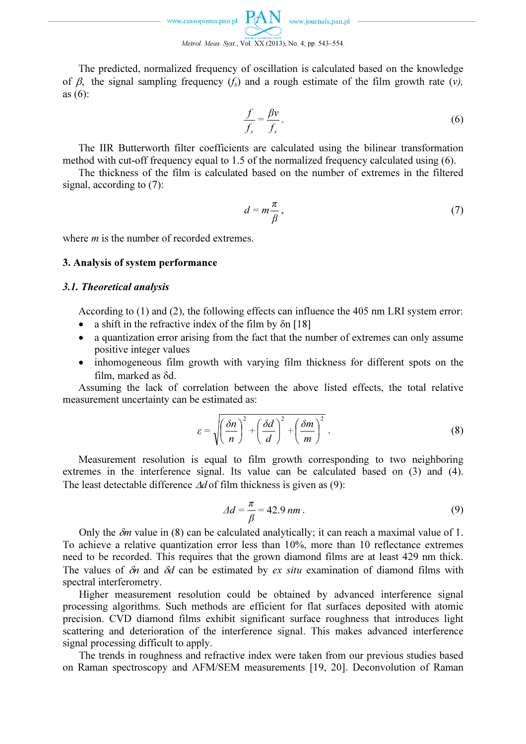The predicted, normalized frequency of oscillation is calculated based on the knowledge of  $\beta$ , the signal sampling frequency  $(f_s)$  and a rough estimate of the film growth rate (v), as (6):

$$
\frac{f}{f_s} = \frac{\beta v}{f_s}.
$$
\n(6)

 The IIR Butterworth filter coefficients are calculated using the bilinear transformation method with cut-off frequency equal to 1.5 of the normalized frequency calculated using (6).

 The thickness of the film is calculated based on the number of extremes in the filtered signal, according to (7):

$$
d = m\frac{\pi}{\beta},\tag{7}
$$

where *m* is the number of recorded extremes.

# 3. Analysis of system performance

## 3.1. Theoretical analysis

According to (1) and (2), the following effects can influence the 405 nm LRI system error:

- a shift in the refractive index of the film by  $\delta n$  [18]
- a quantization error arising from the fact that the number of extremes can only assume positive integer values
- inhomogeneous film growth with varying film thickness for different spots on the film, marked as δd.

 Assuming the lack of correlation between the above listed effects, the total relative measurement uncertainty can be estimated as:

$$
\varepsilon = \sqrt{\left(\frac{\delta n}{n}\right)^2 + \left(\frac{\delta d}{d}\right)^2 + \left(\frac{\delta m}{m}\right)^2}.
$$
 (8)

 Measurement resolution is equal to film growth corresponding to two neighboring extremes in the interference signal. Its value can be calculated based on (3) and (4). The least detectable difference ∆d of film thickness is given as (9):

$$
\Delta d = \frac{\pi}{\beta} = 42.9 \text{ nm} \,. \tag{9}
$$

Only the  $\delta m$  value in (8) can be calculated analytically; it can reach a maximal value of 1. To achieve a relative quantization error less than 10%, more than 10 reflectance extremes need to be recorded. This requires that the grown diamond films are at least 429 nm thick. The values of  $\delta n$  and  $\delta d$  can be estimated by *ex situ* examination of diamond films with spectral interferometry.

 Higher measurement resolution could be obtained by advanced interference signal processing algorithms. Such methods are efficient for flat surfaces deposited with atomic precision. CVD diamond films exhibit significant surface roughness that introduces light scattering and deterioration of the interference signal. This makes advanced interference signal processing difficult to apply.

 The trends in roughness and refractive index were taken from our previous studies based on Raman spectroscopy and AFM/SEM measurements [19, 20]. Deconvolution of Raman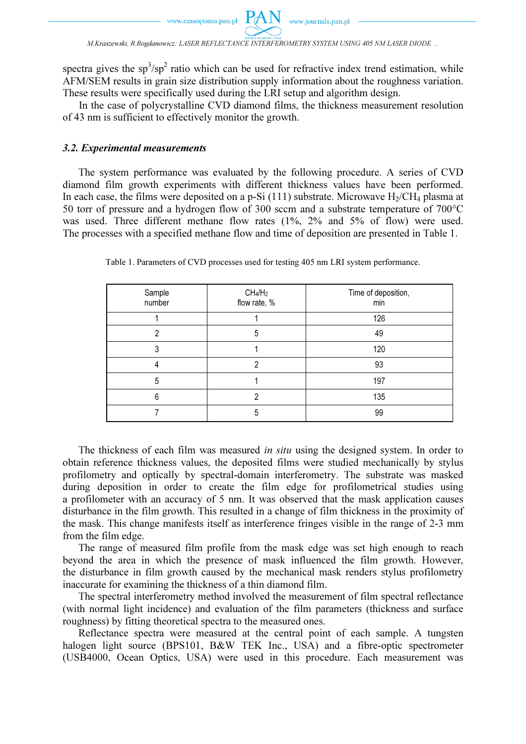

M.Kraszewski, R.Bogdanowicz: LASER REFLECTANCE INTERFEROMETRY SYSTEM USING 405 NM LASER DIODE ...

**PAN** 

spectra gives the  $sp^3/sp^2$  ratio which can be used for refractive index trend estimation, while AFM/SEM results in grain size distribution supply information about the roughness variation. These results were specifically used during the LRI setup and algorithm design.

 In the case of polycrystalline CVD diamond films, the thickness measurement resolution of 43 nm is sufficient to effectively monitor the growth.

## 3.2. Experimental measurements

 The system performance was evaluated by the following procedure. A series of CVD diamond film growth experiments with different thickness values have been performed. In each case, the films were deposited on a p-Si  $(111)$  substrate. Microwave  $H_2/CH_4$  plasma at 50 torr of pressure and a hydrogen flow of 300 sccm and a substrate temperature of 700°C was used. Three different methane flow rates (1%, 2% and 5% of flow) were used. The processes with a specified methane flow and time of deposition are presented in Table 1.

| Sample<br>number | CH <sub>4</sub> /H <sub>2</sub><br>flow rate, % | Time of deposition,<br>min |
|------------------|-------------------------------------------------|----------------------------|
|                  |                                                 | 126                        |
| 2                | 5                                               | 49                         |
| າ                |                                                 | 120                        |
|                  | ∩                                               | 93                         |
| 5                |                                                 | 197                        |
| ĥ                | っ                                               | 135                        |
|                  | 5                                               | 99                         |

Table 1. Parameters of CVD processes used for testing 405 nm LRI system performance.

The thickness of each film was measured *in situ* using the designed system. In order to obtain reference thickness values, the deposited films were studied mechanically by stylus profilometry and optically by spectral-domain interferometry. The substrate was masked during deposition in order to create the film edge for profilometrical studies using a profilometer with an accuracy of 5 nm. It was observed that the mask application causes disturbance in the film growth. This resulted in a change of film thickness in the proximity of the mask. This change manifests itself as interference fringes visible in the range of 2-3 mm from the film edge.

 The range of measured film profile from the mask edge was set high enough to reach beyond the area in which the presence of mask influenced the film growth. However, the disturbance in film growth caused by the mechanical mask renders stylus profilometry inaccurate for examining the thickness of a thin diamond film.

 The spectral interferometry method involved the measurement of film spectral reflectance (with normal light incidence) and evaluation of the film parameters (thickness and surface roughness) by fitting theoretical spectra to the measured ones.

 Reflectance spectra were measured at the central point of each sample. A tungsten halogen light source (BPS101, B&W TEK Inc., USA) and a fibre-optic spectrometer (USB4000, Ocean Optics, USA) were used in this procedure. Each measurement was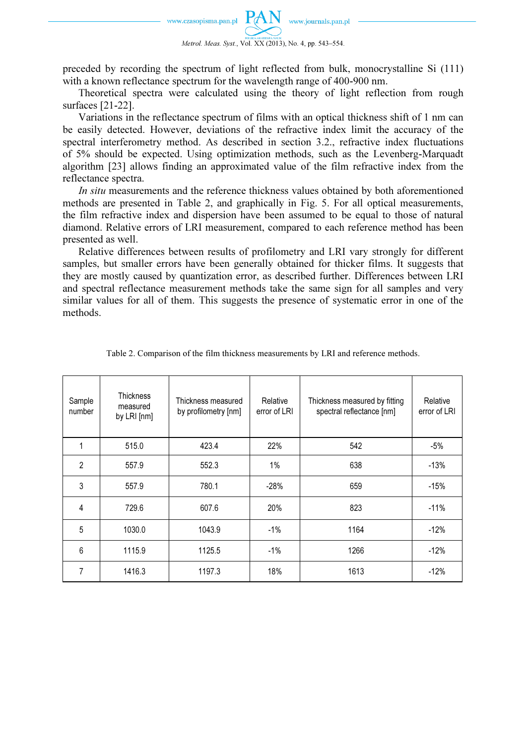

preceded by recording the spectrum of light reflected from bulk, monocrystalline Si (111) with a known reflectance spectrum for the wavelength range of 400-900 nm.

 Theoretical spectra were calculated using the theory of light reflection from rough surfaces [21-22].

 Variations in the reflectance spectrum of films with an optical thickness shift of 1 nm can be easily detected. However, deviations of the refractive index limit the accuracy of the spectral interferometry method. As described in section 3.2., refractive index fluctuations of 5% should be expected. Using optimization methods, such as the Levenberg-Marquadt algorithm [23] allows finding an approximated value of the film refractive index from the reflectance spectra.

In situ measurements and the reference thickness values obtained by both aforementioned methods are presented in Table 2, and graphically in Fig. 5. For all optical measurements, the film refractive index and dispersion have been assumed to be equal to those of natural diamond. Relative errors of LRI measurement, compared to each reference method has been presented as well.

 Relative differences between results of profilometry and LRI vary strongly for different samples, but smaller errors have been generally obtained for thicker films. It suggests that they are mostly caused by quantization error, as described further. Differences between LRI and spectral reflectance measurement methods take the same sign for all samples and very similar values for all of them. This suggests the presence of systematic error in one of the methods.

| Sample<br>number | <b>Thickness</b><br>measured<br>by LRI [nm] | Thickness measured<br>by profilometry [nm] | Relative<br>error of LRI | Thickness measured by fitting<br>spectral reflectance [nm] | Relative<br>error of LRI |
|------------------|---------------------------------------------|--------------------------------------------|--------------------------|------------------------------------------------------------|--------------------------|
| 1                | 515.0                                       | 423.4                                      | 22%                      | 542                                                        | $-5%$                    |
| $\overline{2}$   | 557.9                                       | 552.3                                      | $1\%$                    | 638                                                        | $-13%$                   |
| 3                | 557.9                                       | 780.1                                      | $-28%$                   | 659                                                        | $-15%$                   |
| 4                | 729.6                                       | 607.6                                      | 20%                      | 823                                                        | $-11%$                   |
| 5                | 1030.0                                      | 1043.9                                     | $-1%$                    | 1164                                                       | $-12%$                   |
| 6                | 1115.9                                      | 1125.5                                     | $-1\%$                   | 1266                                                       | $-12%$                   |
| 7                | 1416.3                                      | 1197.3                                     | 18%                      | 1613                                                       | $-12%$                   |

Table 2. Comparison of the film thickness measurements by LRI and reference methods.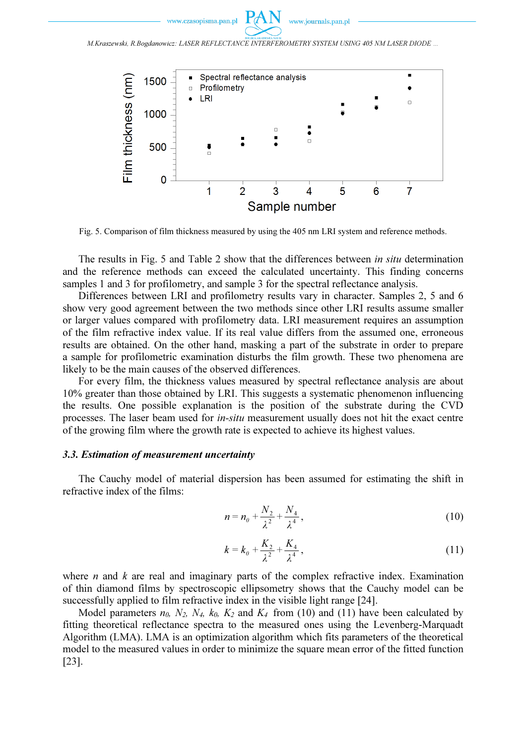www.czasonisma.nan.nl



M.Kraszewski, R.Bogdanowicz: LASER REFLECTANCE INTERFEROMETRY SYSTEM USING 405 NM LASER DIODE ...



Fig. 5. Comparison of film thickness measured by using the 405 nm LRI system and reference methods.

 The results in Fig. 5 and Table 2 show that the differences between in situ determination and the reference methods can exceed the calculated uncertainty. This finding concerns samples 1 and 3 for profilometry, and sample 3 for the spectral reflectance analysis.

 Differences between LRI and profilometry results vary in character. Samples 2, 5 and 6 show very good agreement between the two methods since other LRI results assume smaller or larger values compared with profilometry data. LRI measurement requires an assumption of the film refractive index value. If its real value differs from the assumed one, erroneous results are obtained. On the other hand, masking a part of the substrate in order to prepare a sample for profilometric examination disturbs the film growth. These two phenomena are likely to be the main causes of the observed differences.

 For every film, the thickness values measured by spectral reflectance analysis are about 10% greater than those obtained by LRI. This suggests a systematic phenomenon influencing the results. One possible explanation is the position of the substrate during the CVD processes. The laser beam used for in-situ measurement usually does not hit the exact centre of the growing film where the growth rate is expected to achieve its highest values.

# 3.3. Estimation of measurement uncertainty

The Cauchy model of material dispersion has been assumed for estimating the shift in refractive index of the films:

$$
n = n_0 + \frac{N_2}{\lambda^2} + \frac{N_4}{\lambda^4},
$$
\n(10)

$$
k = k_0 + \frac{K_2}{\lambda^2} + \frac{K_4}{\lambda^4},
$$
\n(11)

where  $n$  and  $k$  are real and imaginary parts of the complex refractive index. Examination of thin diamond films by spectroscopic ellipsometry shows that the Cauchy model can be successfully applied to film refractive index in the visible light range [24].

Model parameters  $n_0$ ,  $N_2$ ,  $N_4$ ,  $k_0$ ,  $K_2$  and  $K_4$  from (10) and (11) have been calculated by fitting theoretical reflectance spectra to the measured ones using the Levenberg-Marquadt Algorithm (LMA). LMA is an optimization algorithm which fits parameters of the theoretical model to the measured values in order to minimize the square mean error of the fitted function [23].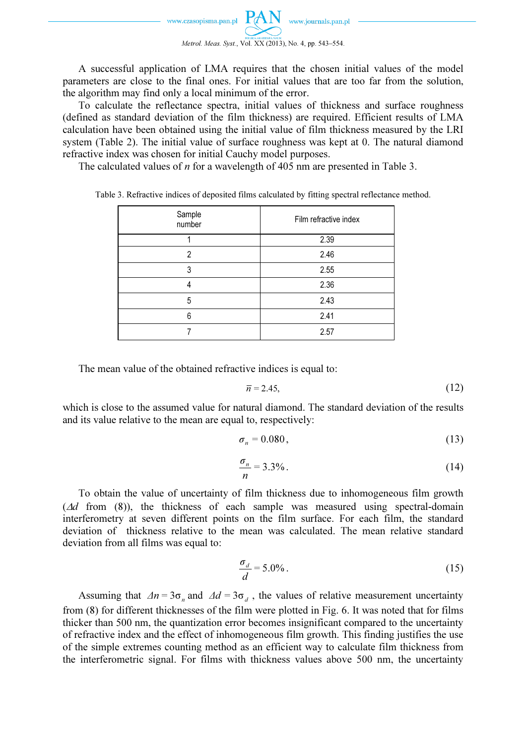A successful application of LMA requires that the chosen initial values of the model parameters are close to the final ones. For initial values that are too far from the solution, the algorithm may find only a local minimum of the error.

 To calculate the reflectance spectra, initial values of thickness and surface roughness (defined as standard deviation of the film thickness) are required. Efficient results of LMA calculation have been obtained using the initial value of film thickness measured by the LRI system (Table 2). The initial value of surface roughness was kept at 0. The natural diamond refractive index was chosen for initial Cauchy model purposes.

The calculated values of *n* for a wavelength of 405 nm are presented in Table 3.

| Sample<br>number | Film refractive index |
|------------------|-----------------------|
|                  | 2.39                  |
| 2                | 2.46                  |
| 3                | 2.55                  |
|                  | 2.36                  |
| 5                | 2.43                  |
| 6                | 2.41                  |
|                  | 2.57                  |

Table 3. Refractive indices of deposited films calculated by fitting spectral reflectance method.

The mean value of the obtained refractive indices is equal to:

$$
\overline{n} = 2.45,\tag{12}
$$

which is close to the assumed value for natural diamond. The standard deviation of the results and its value relative to the mean are equal to, respectively:

$$
\sigma_n = 0.080,\tag{13}
$$

$$
\frac{\sigma_n}{n} = 3.3\% \tag{14}
$$

 To obtain the value of uncertainty of film thickness due to inhomogeneous film growth  $(\Delta d$  from (8)), the thickness of each sample was measured using spectral-domain interferometry at seven different points on the film surface. For each film, the standard deviation of thickness relative to the mean was calculated. The mean relative standard deviation from all films was equal to:

$$
\frac{\sigma_d}{d} = 5.0\% \tag{15}
$$

Assuming that  $\Delta n = 3\sigma_n$  and  $\Delta d = 3\sigma_d$ , the values of relative measurement uncertainty from (8) for different thicknesses of the film were plotted in Fig. 6. It was noted that for films thicker than 500 nm, the quantization error becomes insignificant compared to the uncertainty of refractive index and the effect of inhomogeneous film growth. This finding justifies the use of the simple extremes counting method as an efficient way to calculate film thickness from the interferometric signal. For films with thickness values above 500 nm, the uncertainty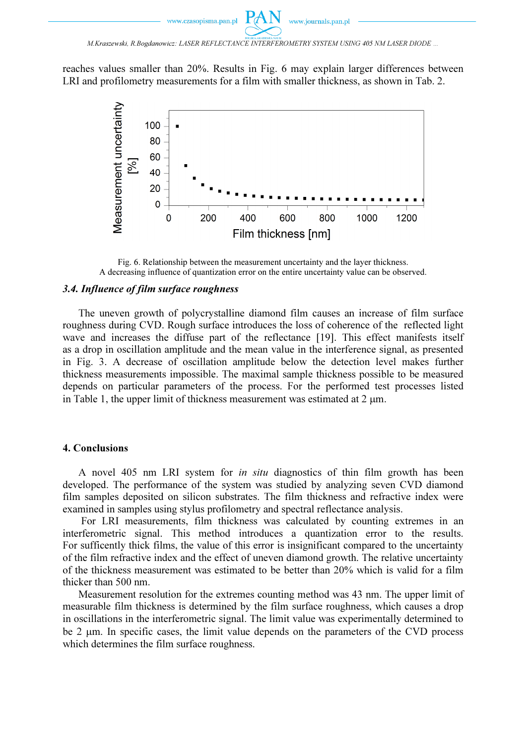M.Kraszewski, R.Bogdanowicz: LASER REFLECTANCE INTERFEROMETRY SYSTEM USING 405 NM LASER DIODE ...

reaches values smaller than 20%. Results in Fig. 6 may explain larger differences between LRI and profilometry measurements for a film with smaller thickness, as shown in Tab. 2.



Fig. 6. Relationship between the measurement uncertainty and the layer thickness. A decreasing influence of quantization error on the entire uncertainty value can be observed.

# 3.4. Influence of film surface roughness

The uneven growth of polycrystalline diamond film causes an increase of film surface roughness during CVD. Rough surface introduces the loss of coherence of the reflected light wave and increases the diffuse part of the reflectance [19]. This effect manifests itself as a drop in oscillation amplitude and the mean value in the interference signal, as presented in Fig. 3. A decrease of oscillation amplitude below the detection level makes further thickness measurements impossible. The maximal sample thickness possible to be measured depends on particular parameters of the process. For the performed test processes listed in Table 1, the upper limit of thickness measurement was estimated at  $2 \mu m$ .

## 4. Conclusions

 A novel 405 nm LRI system for in situ diagnostics of thin film growth has been developed. The performance of the system was studied by analyzing seven CVD diamond film samples deposited on silicon substrates. The film thickness and refractive index were examined in samples using stylus profilometry and spectral reflectance analysis.

 For LRI measurements, film thickness was calculated by counting extremes in an interferometric signal. This method introduces a quantization error to the results. For sufficently thick films, the value of this error is insignificant compared to the uncertainty of the film refractive index and the effect of uneven diamond growth. The relative uncertainty of the thickness measurement was estimated to be better than 20% which is valid for a film thicker than 500 nm.

 Measurement resolution for the extremes counting method was 43 nm. The upper limit of measurable film thickness is determined by the film surface roughness, which causes a drop in oscillations in the interferometric signal. The limit value was experimentally determined to be 2 µm. In specific cases, the limit value depends on the parameters of the CVD process which determines the film surface roughness.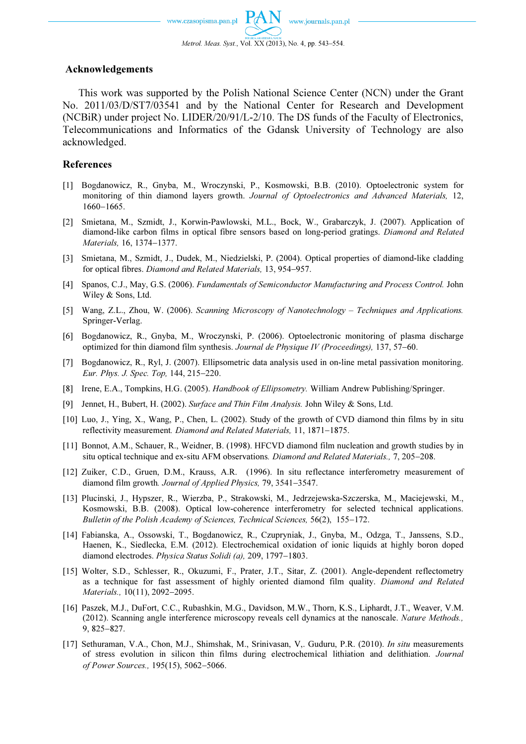## Acknowledgements

 This work was supported by the Polish National Science Center (NCN) under the Grant No. 2011/03/D/ST7/03541 and by the National Center for Research and Development (NCBiR) under project No. LIDER/20/91/L-2/10. The DS funds of the Faculty of Electronics, Telecommunications and Informatics of the Gdansk University of Technology are also acknowledged.

# References

- [1] Bogdanowicz, R., Gnyba, M., Wroczynski, P., Kosmowski, B.B. (2010). Optoelectronic system for monitoring of thin diamond layers growth. Journal of Optoelectronics and Advanced Materials, 12, 1660−1665.
- [2] Smietana, M., Szmidt, J., Korwin-Pawlowski, M.L., Bock, W., Grabarczyk, J. (2007). Application of diamond-like carbon films in optical fibre sensors based on long-period gratings. Diamond and Related Materials, 16, 1374−1377.
- [3] Smietana, M., Szmidt, J., Dudek, M., Niedzielski, P. (2004). Optical properties of diamond-like cladding for optical fibres. Diamond and Related Materials, 13, 954−957.
- [4] Spanos, C.J., May, G.S. (2006). Fundamentals of Semiconductor Manufacturing and Process Control. John Wiley & Sons, Ltd.
- [5] Wang, Z.L., Zhou, W. (2006). Scanning Microscopy of Nanotechnology Techniques and Applications. Springer-Verlag.
- [6] Bogdanowicz, R., Gnyba, M., Wroczynski, P. (2006). Optoelectronic monitoring of plasma discharge optimized for thin diamond film synthesis. Journal de Physique IV (Proceedings), 137, 57−60.
- [7] Bogdanowicz, R., Ryl, J. (2007). Ellipsometric data analysis used in on-line metal passivation monitoring. Eur. Phys. J. Spec. Top, 144, 215−220.
- [8] Irene, E.A., Tompkins, H.G. (2005). Handbook of Ellipsometry. William Andrew Publishing/Springer.
- [9] Jennet, H., Bubert, H. (2002). Surface and Thin Film Analysis. John Wiley & Sons, Ltd.
- [10] Luo, J., Ying, X., Wang, P., Chen, L. (2002). Study of the growth of CVD diamond thin films by in situ reflectivity measurement. Diamond and Related Materials, 11, 1871−1875.
- [11] Bonnot, A.M., Schauer, R., Weidner, B. (1998). HFCVD diamond film nucleation and growth studies by in situ optical technique and ex-situ AFM observations. Diamond and Related Materials., 7, 205−208.
- [12] Zuiker, C.D., Gruen, D.M., Krauss, A.R. (1996). In situ reflectance interferometry measurement of diamond film growth. Journal of Applied Physics, 79, 3541−3547.
- [13] Plucinski, J., Hypszer, R., Wierzba, P., Strakowski, M., Jedrzejewska-Szczerska, M., Maciejewski, M., Kosmowski, B.B. (2008). Optical low-coherence interferometry for selected technical applications. Bulletin of the Polish Academy of Sciences, Technical Sciences, 56(2), 155−172.
- [14] Fabianska, A., Ossowski, T., Bogdanowicz, R., Czupryniak, J., Gnyba, M., Odzga, T., Janssens, S.D., Haenen, K., Siedlecka, E.M. (2012). Electrochemical oxidation of ionic liquids at highly boron doped diamond electrodes. Physica Status Solidi (a), 209, 1797−1803.
- [15] Wolter, S.D., Schlesser, R., Okuzumi, F., Prater, J.T., Sitar, Z. (2001). Angle-dependent reflectometry as a technique for fast assessment of highly oriented diamond film quality. Diamond and Related Materials., 10(11), 2092−2095.
- [16] Paszek, M.J., DuFort, C.C., Rubashkin, M.G., Davidson, M.W., Thorn, K.S., Liphardt, J.T., Weaver, V.M. (2012). Scanning angle interference microscopy reveals cell dynamics at the nanoscale. Nature Methods., 9, 825−827.
- [17] Sethuraman, V.A., Chon, M.J., Shimshak, M., Srinivasan, V,. Guduru, P.R. (2010). In situ measurements of stress evolution in silicon thin films during electrochemical lithiation and delithiation. Journal of Power Sources., 195(15), 5062−5066.